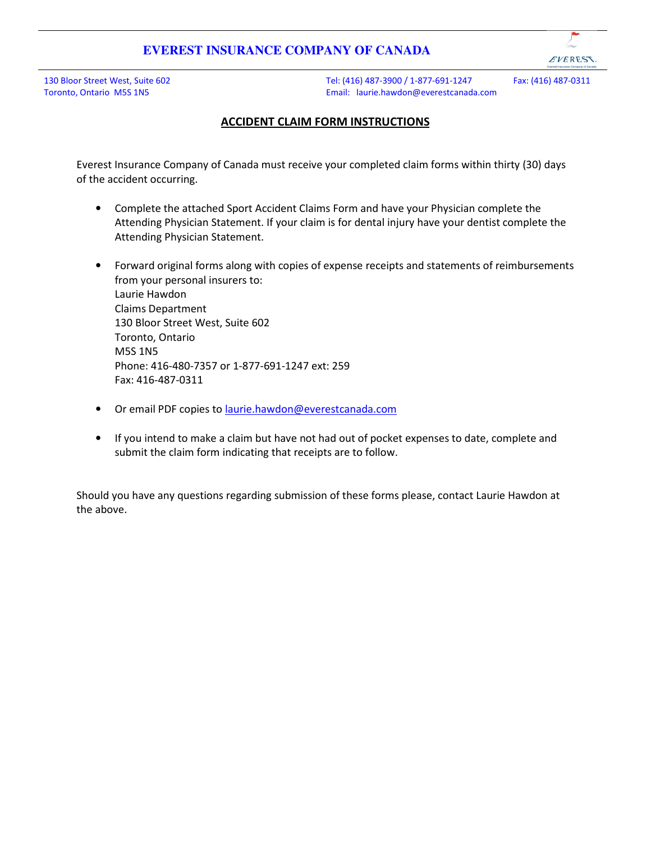EVERESS.

130 Bloor Street West, Suite 602 Toronto, Ontario M5S 1N5

Tel: (416) 487-3900 / 1-877-691-1247 Fax: (416) 487-0311 Email: laurie.hawdon@everestcanada.com

### ACCIDENT CLAIM FORM INSTRUCTIONS

Everest Insurance Company of Canada must receive your completed claim forms within thirty (30) days of the accident occurring.

- Complete the attached Sport Accident Claims Form and have your Physician complete the Attending Physician Statement. If your claim is for dental injury have your dentist complete the Attending Physician Statement.
- Forward original forms along with copies of expense receipts and statements of reimbursements from your personal insurers to: Laurie Hawdon Claims Department 130 Bloor Street West, Suite 602 Toronto, Ontario M5S 1N5 Phone: 416-480-7357 or 1-877-691-1247 ext: 259 Fax: 416-487-0311
- Or email PDF copies to laurie.hawdon@everestcanada.com
- If you intend to make a claim but have not had out of pocket expenses to date, complete and submit the claim form indicating that receipts are to follow.

Should you have any questions regarding submission of these forms please, contact Laurie Hawdon at the above.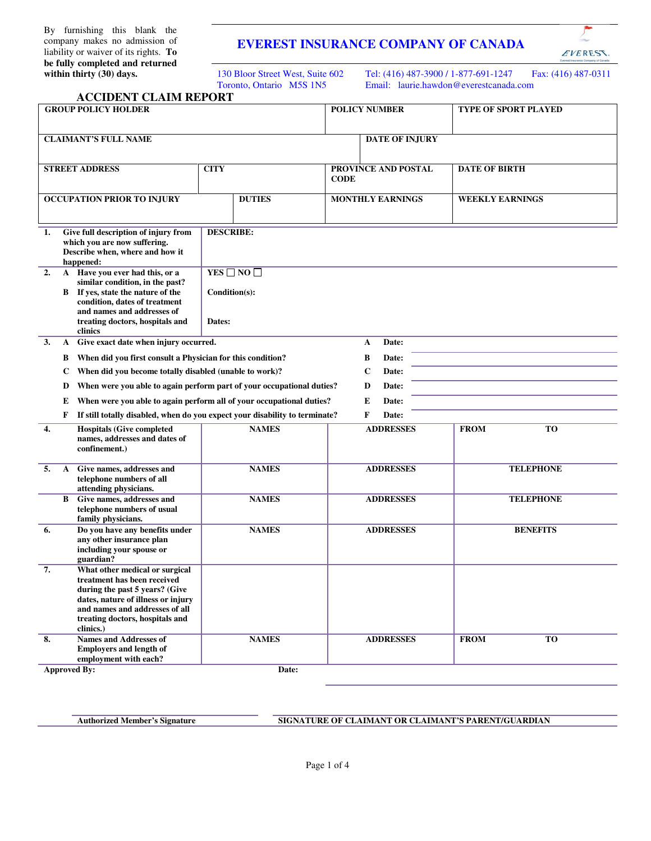By furnishing this blank the company makes no admission of liability or waiver of its rights. **To be fully completed and returned within thirty (30) days.** 

## **EVEREST INSURANCE COMPANY OF CANADA**

130 Bloor Street West, Suite 602 Toronto, Ontario M5S 1N5

Tel: (416) 487-3900 / 1-877-691-1247 Fax: (416) 487-0311 Email: laurie.hawdon@everestcanada.com

EVEREST

| <b>ACCIDENT CLAIM REPORT</b>                                                                                                                                                                                                  |                                                                       |                                    |                             |  |  |  |  |
|-------------------------------------------------------------------------------------------------------------------------------------------------------------------------------------------------------------------------------|-----------------------------------------------------------------------|------------------------------------|-----------------------------|--|--|--|--|
| <b>GROUP POLICY HOLDER</b>                                                                                                                                                                                                    |                                                                       | <b>POLICY NUMBER</b>               | <b>TYPE OF SPORT PLAYED</b> |  |  |  |  |
| <b>CLAIMANT'S FULL NAME</b>                                                                                                                                                                                                   |                                                                       | <b>DATE OF INJURY</b>              |                             |  |  |  |  |
| <b>STREET ADDRESS</b>                                                                                                                                                                                                         | <b>CITY</b>                                                           | PROVINCE AND POSTAL<br><b>CODE</b> | <b>DATE OF BIRTH</b>        |  |  |  |  |
| OCCUPATION PRIOR TO INJURY                                                                                                                                                                                                    | <b>DUTIES</b>                                                         | <b>MONTHLY EARNINGS</b>            | <b>WEEKLY EARNINGS</b>      |  |  |  |  |
| Give full description of injury from<br>1.<br>which you are now suffering.<br>Describe when, where and how it<br>happened:                                                                                                    | <b>DESCRIBE:</b>                                                      |                                    |                             |  |  |  |  |
| A Have you ever had this, or a<br>2.<br>similar condition, in the past?<br>B If yes, state the nature of the<br>condition, dates of treatment<br>and names and addresses of<br>treating doctors, hospitals and<br>clinics     | Condition(s):<br>Dates:                                               | YES $\Box$ NO $\Box$               |                             |  |  |  |  |
| Give exact date when injury occurred.<br>3.<br>A                                                                                                                                                                              |                                                                       | Date:<br>A                         |                             |  |  |  |  |
| When did you first consult a Physician for this condition?<br>В                                                                                                                                                               |                                                                       | Date:<br>B                         |                             |  |  |  |  |
| When did you become totally disabled (unable to work)?<br>C                                                                                                                                                                   |                                                                       | Date:<br>$\mathbf C$               |                             |  |  |  |  |
| D                                                                                                                                                                                                                             | When were you able to again perform part of your occupational duties? | D<br>Date:                         |                             |  |  |  |  |
| When were you able to again perform all of your occupational duties?<br>Date:<br>Е<br>E                                                                                                                                       |                                                                       |                                    |                             |  |  |  |  |
| If still totally disabled, when do you expect your disability to terminate?<br>F<br>F<br>Date:                                                                                                                                |                                                                       |                                    |                             |  |  |  |  |
| <b>Hospitals (Give completed</b><br>4.<br>names, addresses and dates of<br>confinement.)                                                                                                                                      | <b>NAMES</b>                                                          | <b>ADDRESSES</b>                   | <b>TO</b><br><b>FROM</b>    |  |  |  |  |
| 5.<br>Give names, addresses and<br>A<br>telephone numbers of all<br>attending physicians.                                                                                                                                     | <b>NAMES</b>                                                          | <b>ADDRESSES</b>                   | <b>TELEPHONE</b>            |  |  |  |  |
| Give names, addresses and<br>B<br>telephone numbers of usual<br>family physicians.                                                                                                                                            | <b>NAMES</b>                                                          | <b>ADDRESSES</b>                   | <b>TELEPHONE</b>            |  |  |  |  |
| Do you have any benefits under<br>6.<br>any other insurance plan<br>including your spouse or<br>guardian?                                                                                                                     | <b>NAMES</b>                                                          | <b>ADDRESSES</b>                   | <b>BENEFITS</b>             |  |  |  |  |
| What other medical or surgical<br>7.<br>treatment has been received<br>during the past 5 years? (Give<br>dates, nature of illness or injury<br>and names and addresses of all<br>treating doctors, hospitals and<br>clinics.) |                                                                       |                                    |                             |  |  |  |  |
| 8.<br><b>Names and Addresses of</b><br><b>Employers and length of</b><br>employment with each?                                                                                                                                | <b>NAMES</b>                                                          | <b>ADDRESSES</b>                   | <b>TO</b><br><b>FROM</b>    |  |  |  |  |
| <b>Approved By:</b>                                                                                                                                                                                                           | Date:                                                                 |                                    |                             |  |  |  |  |

#### Authorized Member's Signature SIGNATURE OF CLAIMANT OR CLAIMANT'S PARENT/GUARDIAN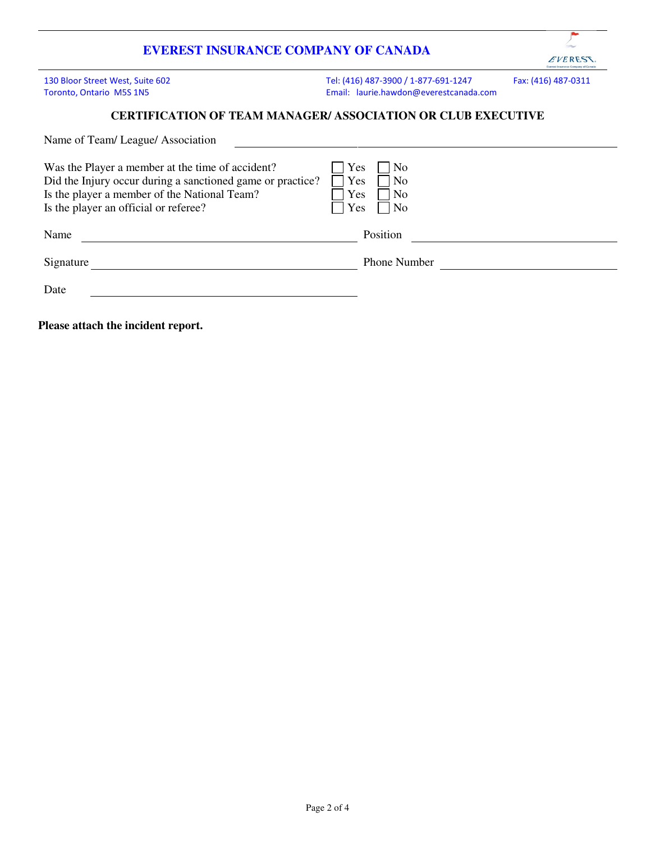

130 Bloor Street West, Suite 602 Toronto, Ontario M5S 1N5

Tel: (416) 487-3900 / 1-877-691-1247 Fax: (416) 487-0311 Email: laurie.hawdon@everestcanada.com

#### **CERTIFICATION OF TEAM MANAGER/ ASSOCIATION OR CLUB EXECUTIVE**

| Name of Team/League/Association                                                                                                                                                                         |                                                                   |
|---------------------------------------------------------------------------------------------------------------------------------------------------------------------------------------------------------|-------------------------------------------------------------------|
| Was the Player a member at the time of accident?<br>Did the Injury occur during a sanctioned game or practice?<br>Is the player a member of the National Team?<br>Is the player an official or referee? | Yes<br>$ $ No<br>Yes<br>$ $ No<br>Yes<br> No<br>Yes<br>$\vert$ No |
| Name                                                                                                                                                                                                    | Position                                                          |
| Signature                                                                                                                                                                                               | <b>Phone Number</b>                                               |
| Date                                                                                                                                                                                                    |                                                                   |
| Please attach the incident report.                                                                                                                                                                      |                                                                   |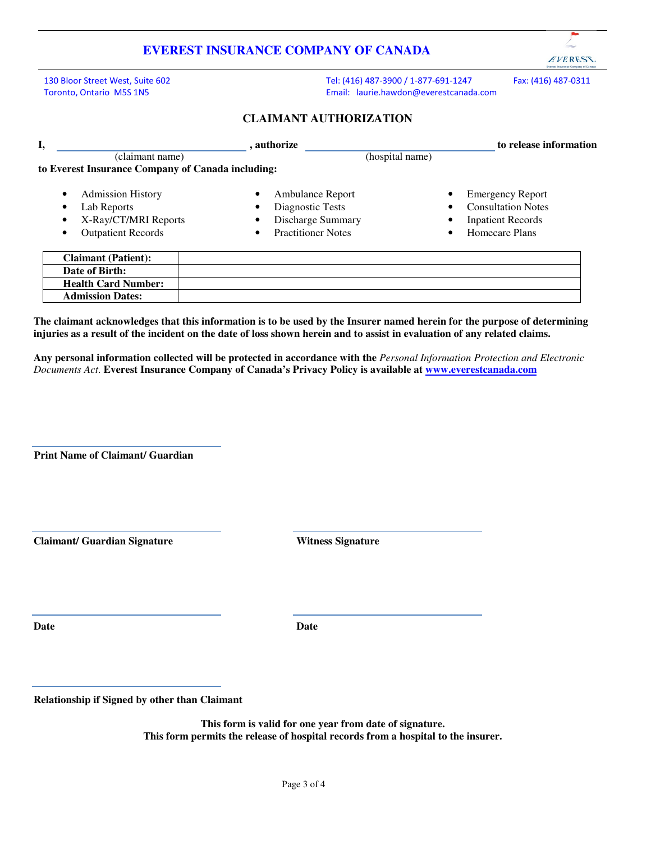130 Bloor Street West, Suite 602 Toronto, Ontario M5S 1N5

Tel: (416) 487-3900 / 1-877-691-1247 Fax: (416) 487-0311 Email: laurie.hawdon@everestcanada.com

EVERESS.

#### **CLAIMANT AUTHORIZATION**

| I,                                                                                                                                               | . authorize                         |                          |                                                                                        |                 | to release information                                                                             |  |  |
|--------------------------------------------------------------------------------------------------------------------------------------------------|-------------------------------------|--------------------------|----------------------------------------------------------------------------------------|-----------------|----------------------------------------------------------------------------------------------------|--|--|
|                                                                                                                                                  | $(\overline{\text{claimant name}})$ |                          |                                                                                        | (hospital name) |                                                                                                    |  |  |
| to Everest Insurance Company of Canada including:                                                                                                |                                     |                          |                                                                                        |                 |                                                                                                    |  |  |
| <b>Admission History</b><br>$\bullet$<br>Lab Reports<br>$\bullet$<br>X-Ray/CT/MRI Reports<br>$\bullet$<br><b>Outpatient Records</b><br>$\bullet$ |                                     | ٠<br>٠<br>٠<br>$\bullet$ | Ambulance Report<br>Diagnostic Tests<br>Discharge Summary<br><b>Practitioner Notes</b> |                 | <b>Emergency Report</b><br><b>Consultation Notes</b><br><b>Inpatient Records</b><br>Homecare Plans |  |  |
| <b>Claimant (Patient):</b>                                                                                                                       |                                     |                          |                                                                                        |                 |                                                                                                    |  |  |
| Date of Birth:                                                                                                                                   |                                     |                          |                                                                                        |                 |                                                                                                    |  |  |
| <b>Health Card Number:</b>                                                                                                                       |                                     |                          |                                                                                        |                 |                                                                                                    |  |  |
| <b>Admission Dates:</b>                                                                                                                          |                                     |                          |                                                                                        |                 |                                                                                                    |  |  |

**The claimant acknowledges that this information is to be used by the Insurer named herein for the purpose of determining injuries as a result of the incident on the date of loss shown herein and to assist in evaluation of any related claims.** 

**Any personal information collected will be protected in accordance with the** *Personal Information Protection and Electronic Documents Act*. **Everest Insurance Company of Canada's Privacy Policy is available at www.everestcanada.com** 

 **Print Name of Claimant/ Guardian** 

**Claimant/ Guardian Signature Witness Signature** 

**Date Date** 

**Relationship if Signed by other than Claimant** 

**This form is valid for one year from date of signature. This form permits the release of hospital records from a hospital to the insurer.**